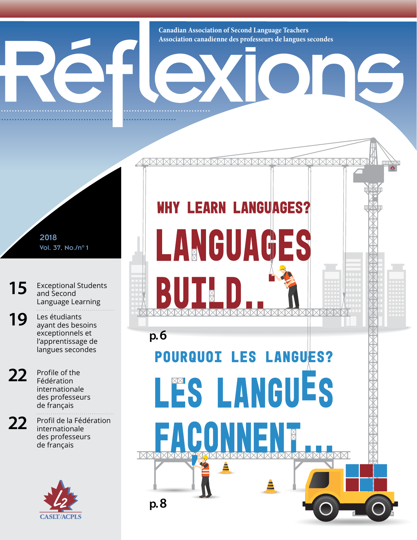**Canadian Association of Second Language Teachers Association canadienne des professeurs de langues secondes**

<u>IXIXIXIX</u>

**WHY LEARN LANGUAGES?** 

LANGUAGES

**POURQUOI LES LANGUES?** 

LES LANGUES

16

2018 Vol. 37, No./n°1

**[15](#page--1-0)** Exceptional Students [and Second](#page--1-0)  [Language Learning](#page--1-0)

19 Les étudiants exceptionnels et l'apprentissage de langues secondes

**p. [6](#page--1-1)**

R

**p. 8**

7A

E

22 Profile of the Fédération internationale des professeurs de français

22 Profil de la Fédération internationale des professeurs de français

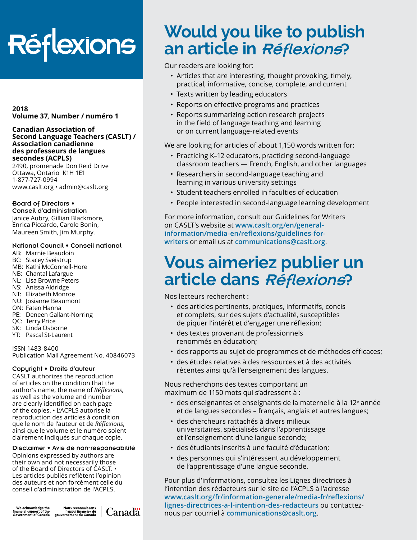# Réflexions

#### **2018 Volume 37, Number / numéro 1**

#### **Canadian Association of Second Language Teachers (CASLT) / Association canadienne des professeurs de langues secondes (ACPLS)**

2490, promenade Don Reid Drive Ottawa, Ontario K1H 1E1 1-877-727-0994 [www.caslt.org](http://www.caslt.org) • [admin@caslt.org](mailto:admin%40caslt.org?subject=)

#### Board of Directors •

Conseil d'administration Janice Aubry, Gillian Blackmore, Enrica Piccardo, Carole Bonin, Maureen Smith, Jim Murphy.

#### National Council • Conseil national

- AB: Marnie Beaudoin
- BC: Stacey Sveistrup
- MB: Kathi McConnell-Hore
- NB: Chantal Lafargue
- NL: Lisa Browne Peters
- NS: Anissa Aldridge
- NT: Elizabeth Monroe
- NU: Josianne Beaumont
- ON: Faten Hanna
- PE: Deneen Gallant-Norring
- QC: Terry Price
- SK: Linda Osborne
- YT: Pascal St-Laurent

ISSN 1483-8400 Publication Mail Agreement No. 40846073

#### Copyright • Droits d'auteur

CASLT authorizes the reproduction of articles on the condition that the author's name, the name of *Réflexions*, as well as the volume and number are clearly identified on each page of the copies. • L'ACPLS autorise la reproduction des articles à condition que le nom de l'auteur et de *Réflexions*, ainsi que le volume et le numéro soient clairement indiqués sur chaque copie.

#### Disclaimer • Avis de non-responsabilité

Opinions expressed by authors are their own and not necessarily those of the Board of Directors of CASLT. • Les articles publiés reflètent l'opinion des auteurs et non forcément celle du conseil d'administration de l'ACPLS.

We acknowledge the<br>financial support of the<br>Government of Canada



# **Would you like to publish an article in** Réflexions?

Our readers are looking for:

- Articles that are interesting, thought provoking, timely, practical, informative, concise, complete, and current
- Texts written by leading educators
- Reports on effective programs and practices
- Reports summarizing action research projects in the field of language teaching and learning or on current language-related events

We are looking for articles of about 1,150 words written for:

- Practicing K–12 educators, practicing second-language classroom teachers — French, English, and other languages
- Researchers in second-language teaching and learning in various university settings
- Student teachers enrolled in faculties of education
- People interested in second-language learning development

For more information, consult our Guidelines for Writers on CASLT's website at **[www.caslt.org/en/general](https://www.caslt.org/en/general-information/media-en/reflexions/guidelines-for-writers)[information/media-en/reflexions/guidelines-for](https://www.caslt.org/en/general-information/media-en/reflexions/guidelines-for-writers)[writers](https://www.caslt.org/en/general-information/media-en/reflexions/guidelines-for-writers)** or email us at **communications[@caslt.org](mailto:communications%40caslt.org?subject=)**.

## **Vous aimeriez publier un article dans** Réflexions?

Nos lecteurs recherchent :

- des articles pertinents, pratiques, informatifs, concis et complets, sur des sujets d'actualité, susceptibles de piquer l'intérêt et d'engager une réflexion;
- des textes provenant de professionnels renommés en éducation;
- des rapports au sujet de programmes et de méthodes efficaces;
- des études relatives à des ressources et à des activités récentes ainsi qu'à l'enseignement des langues.

Nous recherchons des textes comportant un maximum de 1150 mots qui s'adressent à :

- $\cdot\,$  des enseignantes et enseignants de la maternelle à la 12ª année et de langues secondes – français, anglais et autres langues;
- des chercheurs rattachés à divers milieux universitaires, spécialisés dans l'apprentissage et l'enseignement d'une langue seconde;
- des étudiants inscrits à une faculté d'éducation;
- des personnes qui s'intéressent au développement de l'apprentissage d'une langue seconde.

Pour plus d'informations, consultez les Lignes directrices à l'intention des rédacteurs sur le site de l'ACPLS à l'adresse **[www.caslt.org/fr/information-generale/media-fr/reflexions/](https://www.caslt.org/fr/information-generale/media-fr/reflexions/lignes-directrices-a-l-intention-des-redacteurs) [lignes-directrices-a-l-intention-des-redacteurs](https://www.caslt.org/fr/information-generale/media-fr/reflexions/lignes-directrices-a-l-intention-des-redacteurs)** ou contacteznous par courriel à **communication[s@caslt.org](mailto:communications%40caslt.org?subject=)**.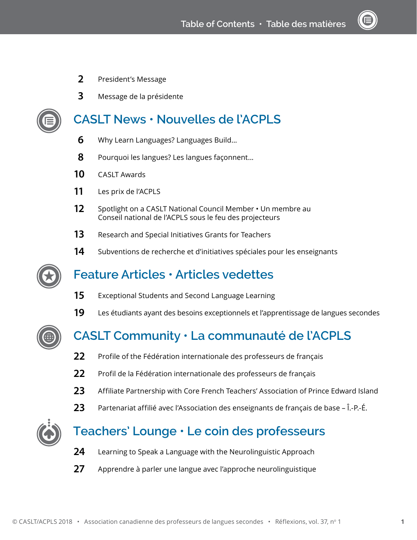- President's Message
- Message de la présidente



## **CASLT News • Nouvelles de l'ACPLS**

- [Why Learn Languages? Languages Build...](#page--1-1)
- Pourquoi les langues? Les langues façonnent...
- [CASLT Awards](#page--1-2)
- Les prix de l'ACPLS
- [Spotlight on a CASLT National Council Member](#page--1-2) Un membre au Conseil national de l'ACPLS sous le feu des projecteurs
- [Research and Special Initiatives Grants for Teachers](#page--1-2)
- Subventions de recherche et d'initiatives spéciales pour les enseignants



## **Feature Articles • Articles vedettes**

- [Exceptional Students and Second Language Learning](#page--1-0)
- Les étudiants ayant des besoins exceptionnels et l'apprentissage de langues secondes



- Profile of the Fédération internationale des professeurs de français
- Profil de la Fédération internationale des professeurs de français
- [Affiliate Partnership with Core French Teachers' Association of Prince Edward Island](#page--1-3)
- Partenariat affilié avec l'Association des enseignants de français de base Î.-P.-É.



## **Teachers' Lounge • Le coin des professeurs**

- [Learning to Speak a Language with the Neurolinguistic Approach](#page--1-4)
- Apprendre à parler une langue avec l'approche neurolinguistique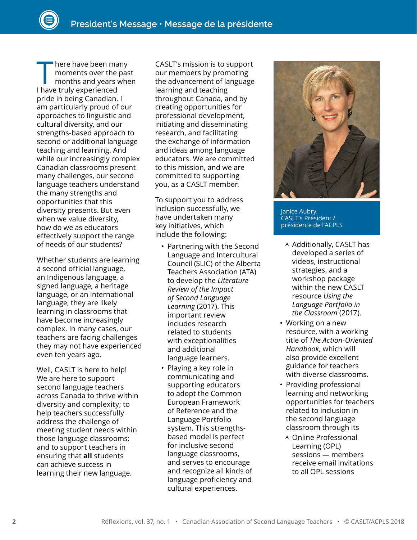There have been many<br>
moments over the past<br>
months and years when<br>
I have truly experienced moments over the past I have truly experienced pride in being Canadian. I am particularly proud of our approaches to linguistic and cultural diversity, and our strengths-based approach to second or additional language teaching and learning. And while our increasingly complex Canadian classrooms present many challenges, our second language teachers understand the many strengths and opportunities that this diversity presents. But even when we value diversity, how do we as educators effectively support the range of needs of our students?

Whether students are learning a second official language, an Indigenous language, a signed language, a heritage language, or an international language, they are likely learning in classrooms that have become increasingly complex. In many cases, our teachers are facing challenges they may not have experienced even ten years ago.

Well, CASLT is here to help! We are here to support second language teachers across Canada to thrive within diversity and complexity; to help teachers successfully address the challenge of meeting student needs within those language classrooms; and to support teachers in ensuring that **all** students can achieve success in learning their new language.

CASLT's mission is to support our members by promoting the advancement of language learning and teaching throughout Canada, and by creating opportunities for professional development, initiating and disseminating research, and facilitating the exchange of information and ideas among language educators. We are committed to this mission, and we are committed to supporting you, as a CASLT member.

To support you to address inclusion successfully, we have undertaken many key initiatives, which include the following:

- Partnering with the Second Language and Intercultural Council (SLIC) of the Alberta Teachers Association (ATA) to develop the *Literature Review of the Impact of Second Language Learning* (2017). This important review includes research related to students with exceptionalities and additional language learners.
- Playing a key role in communicating and supporting educators to adopt the Common European Framework of Reference and the Language Portfolio system. This strengthsbased model is perfect for inclusive second language classrooms, and serves to encourage and recognize all kinds of language proficiency and cultural experiences.



Janice Aubry, CASLT's President / présidente de l'ACPLS

- $\overline{\phantom{a}}$  Additionally, CASLT has developed a series of videos, instructional strategies, and a workshop package within the new CASLT resource *Using the Language Portfolio in the Classroom* (2017).
- Working on a new resource, with a working title of *The Action-Oriented Handbook,* which will also provide excellent guidance for teachers with diverse classrooms.
- Providing professional learning and networking opportunities for teachers related to inclusion in the second language classroom through its
	- Online Professional Learning (OPL) sessions — members receive email invitations to all OPL sessions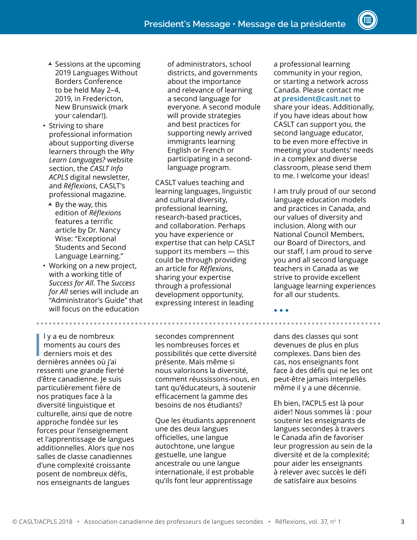- $\overline{\phantom{a}}$  Sessions at the upcoming 2019 Languages Without Borders Conference to be held May 2–4, 2019, in Fredericton, New Brunswick (mark your calendar!).
- Striving to share professional information about supporting diverse learners through the *Why Learn Languages?* website section, the *CASLT Info ACPLS* digital newsletter, and *Réflexions*, CASLT's professional magazine.
	- $\triangle$  By the way, this edition of *Réflexions*  features a terrific article by Dr. Nancy Wise: "Exceptional Students and Second Language Learning."
- Working on a new project, with a working title of *Success for All*. The *Success for All* series will include an "Administrator's Guide" that will focus on the education

I l y a eu de nombreux moments au cours des derniers mois et des dernières années où j'ai ressenti une grande fierté d'être canadienne. Je suis particulièrement fière de nos pratiques face à la diversité linguistique et culturelle, ainsi que de notre approche fondée sur les forces pour l'enseignement et l'apprentissage de langues additionnelles. Alors que nos salles de classe canadiennes d'une complexité croissante posent de nombreux défis, nos enseignants de langues

of administrators, school districts, and governments about the importance and relevance of learning a second language for everyone. A second module will provide strategies and best practices for supporting newly arrived immigrants learning English or French or participating in a secondlanguage program.

CASLT values teaching and learning languages, linguistic and cultural diversity, professional learning, research-based practices, and collaboration. Perhaps you have experience or expertise that can help CASLT support its members — this could be through providing an article for *Réflexions*, sharing your expertise through a professional development opportunity, expressing interest in leading

secondes comprennent les nombreuses forces et possibilités que cette diversité présente. Mais même si nous valorisons la diversité, comment réussissons-nous, en tant qu'éducateurs, à soutenir efficacement la gamme des besoins de nos étudiants?

Que les étudiants apprennent une des deux langues officielles, une langue autochtone, une langue gestuelle, une langue ancestrale ou une langue internationale, il est probable qu'ils font leur apprentissage

a professional learning community in your region, or starting a network across Canada. Please contact me at **[president@caslt.net](mailto:president@caslt.net)** to share your ideas. Additionally, if you have ideas about how CASLT can support you, the second language educator, to be even more effective in meeting your students' needs in a complex and diverse classroom, please send them to me. I welcome your ideas!

I am truly proud of our second language education models and practices in Canada, and our values of diversity and inclusion. Along with our National Council Members, our Board of Directors, and our staff, I am proud to serve you and all second language teachers in Canada as we strive to provide excellent language learning experiences for all our students.

◆ ◆ ◆

dans des classes qui sont devenues de plus en plus complexes. Dans bien des cas, nos enseignants font face à des défis qui ne les ont peut-être jamais interpellés même il y a une décennie.

Eh bien, l'ACPLS est là pour aider! Nous sommes là : pour soutenir les enseignants de langues secondes à travers le Canada afin de favoriser leur progression au sein de la diversité et de la complexité; pour aider les enseignants à relever avec succès le défi de satisfaire aux besoins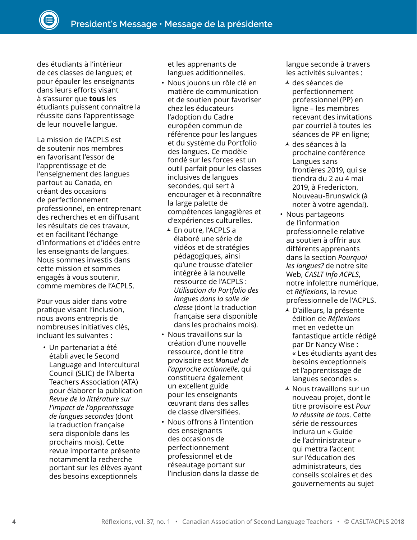des étudiants à l'intérieur de ces classes de langues; et pour épauler les enseignants dans leurs efforts visant à s'assurer que **tous** les étudiants puissent connaître la réussite dans l'apprentissage de leur nouvelle langue.

La mission de l'ACPLS est de soutenir nos membres en favorisant l'essor de l'apprentissage et de l'enseignement des langues partout au Canada, en créant des occasions de perfectionnement professionnel, en entreprenant des recherches et en diffusant les résultats de ces travaux, et en facilitant l'échange d'informations et d'idées entre les enseignants de langues. Nous sommes investis dans cette mission et sommes engagés à vous soutenir, comme membres de l'ACPLS.

Pour vous aider dans votre pratique visant l'inclusion, nous avons entrepris de nombreuses initiatives clés, incluant les suivantes :

• Un partenariat a été établi avec le Second Language and Intercultural Council (SLIC) de l'Alberta Teachers Association (ATA) pour élaborer la publication *Revue de la littérature sur l'impact de l'apprentissage de langues secondes* (dont la traduction française sera disponible dans les prochains mois). Cette revue importante présente notamment la recherche portant sur les élèves ayant des besoins exceptionnels

et les apprenants de langues additionnelles.

- Nous jouons un rôle clé en matière de communication et de soutien pour favoriser chez les éducateurs l'adoption du Cadre européen commun de référence pour les langues et du système du Portfolio des langues. Ce modèle fondé sur les forces est un outil parfait pour les classes inclusives de langues secondes, qui sert à encourager et à reconnaître la large palette de compétences langagières et d'expériences culturelles.
- En outre, l'ACPLS a élaboré une série de vidéos et de stratégies pédagogiques, ainsi qu'une trousse d'atelier intégrée à la nouvelle ressource de l'ACPLS : *Utilisation du Portfolio des langues dans la salle de classe* (dont la traduction française sera disponible dans les prochains mois).
- Nous travaillons sur la création d'une nouvelle ressource, dont le titre provisoire est *Manuel de l'approche actionnelle*, qui constituera également un excellent guide pour les enseignants œuvrant dans des salles de classe diversifiées.
- Nous offrons à l'intention des enseignants des occasions de perfectionnement professionnel et de réseautage portant sur l'inclusion dans la classe de

langue seconde à travers les activités suivantes :

- des séances de perfectionnement professionnel (PP) en ligne – les membres recevant des invitations par courriel à toutes les séances de PP en ligne;
- des séances à la prochaine conférence Langues sans frontières 2019, qui se tiendra du 2 au 4 mai 2019, à Fredericton, Nouveau-Brunswick (à noter à votre agenda!).
- Nous partageons de l'information professionnelle relative au soutien à offrir aux différents apprenants dans la section *Pourquoi les langues?* de notre site Web, *CASLT Info ACPLS*, notre infolettre numérique, et *Réflexions*, la revue professionnelle de l'ACPLS.
	- D'ailleurs, la présente édition de *Réflexions* met en vedette un fantastique article rédigé par Dr Nancy Wise : « Les étudiants ayant des besoins exceptionnels et l'apprentissage de langues secondes ».
- $\overline{\phantom{a}}$  Nous travaillons sur un nouveau projet, dont le titre provisoire est *Pour la réussite de tous*. Cette série de ressources inclura un « Guide de l'administrateur » qui mettra l'accent sur l'éducation des administrateurs, des conseils scolaires et des gouvernements au sujet